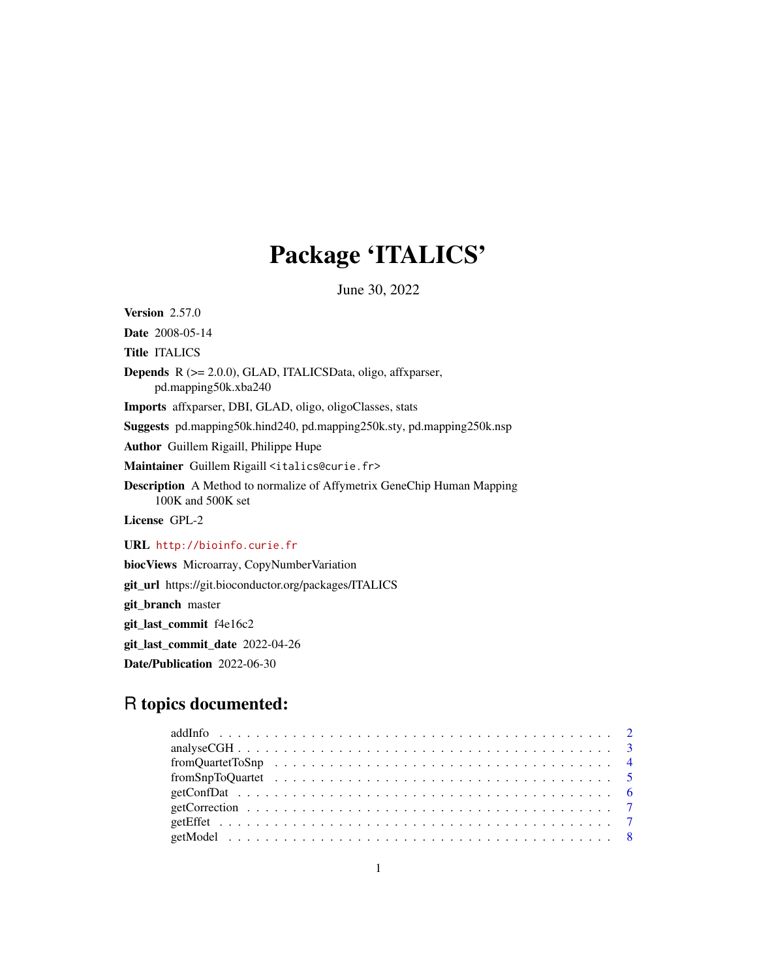## Package 'ITALICS'

June 30, 2022

Version 2.57.0

Date 2008-05-14

Title ITALICS

Depends R (>= 2.0.0), GLAD, ITALICSData, oligo, affxparser, pd.mapping50k.xba240

Imports affxparser, DBI, GLAD, oligo, oligoClasses, stats

Suggests pd.mapping50k.hind240, pd.mapping250k.sty, pd.mapping250k.nsp

Author Guillem Rigaill, Philippe Hupe

Maintainer Guillem Rigaill <italics@curie.fr>

Description A Method to normalize of Affymetrix GeneChip Human Mapping 100K and 500K set

License GPL-2

URL <http://bioinfo.curie.fr>

biocViews Microarray, CopyNumberVariation

git\_url https://git.bioconductor.org/packages/ITALICS

git\_branch master

git\_last\_commit f4e16c2

git\_last\_commit\_date 2022-04-26

Date/Publication 2022-06-30

## R topics documented: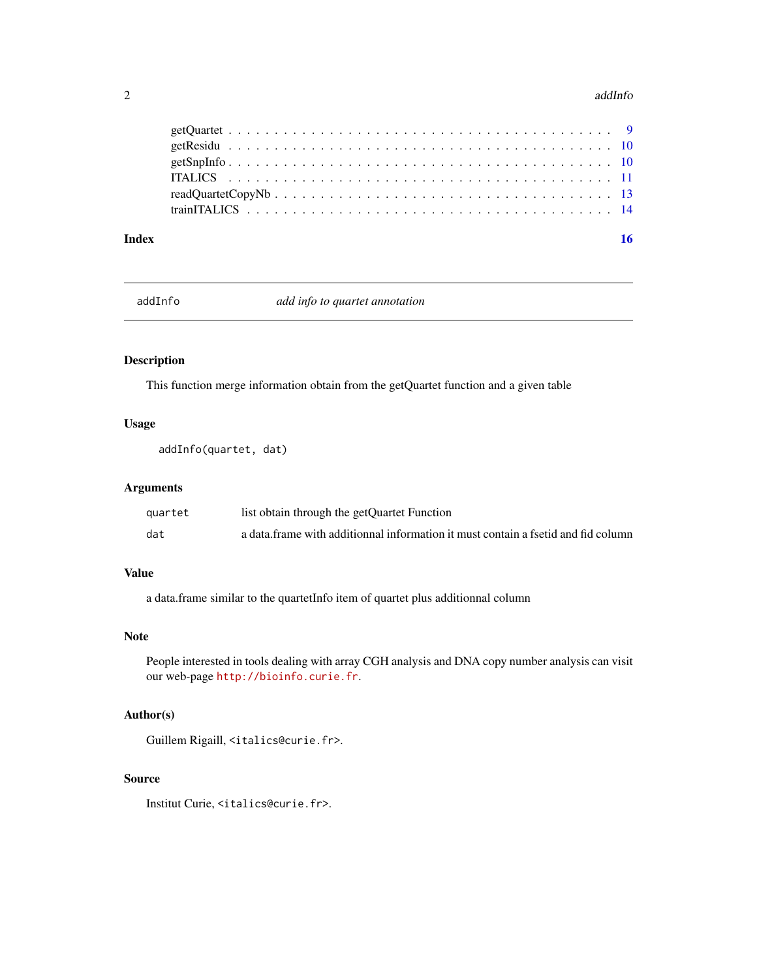#### <span id="page-1-0"></span> $2$  addInfo

#### **Index** the contract of the contract of the contract of the contract of the contract of the contract of the contract of the contract of the contract of the contract of the contract of the contract of the contract of the co

addInfo *add info to quartet annotation*

## Description

This function merge information obtain from the getQuartet function and a given table

## Usage

addInfo(quartet, dat)

## Arguments

| quartet | list obtain through the getQuartet Function                                       |
|---------|-----------------------------------------------------------------------------------|
| dat     | a data frame with additionnal information it must contain a fsetid and fid column |

## Value

a data.frame similar to the quartetInfo item of quartet plus additionnal column

#### Note

People interested in tools dealing with array CGH analysis and DNA copy number analysis can visit our web-page <http://bioinfo.curie.fr>.

## Author(s)

Guillem Rigaill, <italics@curie.fr>.

#### Source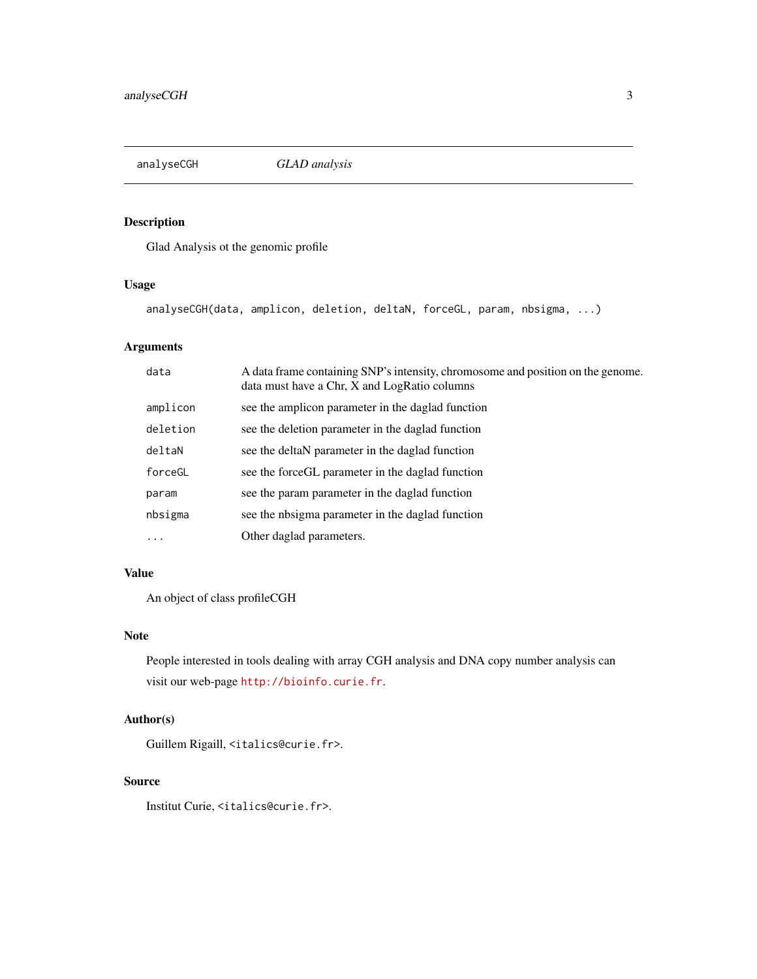<span id="page-2-0"></span>analyseCGH *GLAD analysis*

## Description

Glad Analysis ot the genomic profile

## Usage

analyseCGH(data, amplicon, deletion, deltaN, forceGL, param, nbsigma, ...)

## Arguments

| data      | A data frame containing SNP's intensity, chromosome and position on the genome.<br>data must have a Chr, X and LogRatio columns |
|-----------|---------------------------------------------------------------------------------------------------------------------------------|
| amplicon  | see the amplicon parameter in the daglad function                                                                               |
| deletion  | see the deletion parameter in the daglad function                                                                               |
| deltaN    | see the deltaN parameter in the daglad function                                                                                 |
| forceGL   | see the force GL parameter in the daglad function                                                                               |
| param     | see the param parameter in the daglad function                                                                                  |
| nbsigma   | see the nbsigma parameter in the daglad function                                                                                |
| $\ddotsc$ | Other daglad parameters.                                                                                                        |

## Value

An object of class profileCGH

## Note

People interested in tools dealing with array CGH analysis and DNA copy number analysis can visit our web-page <http://bioinfo.curie.fr>.

## Author(s)

Guillem Rigaill, <italics@curie.fr>.

#### Source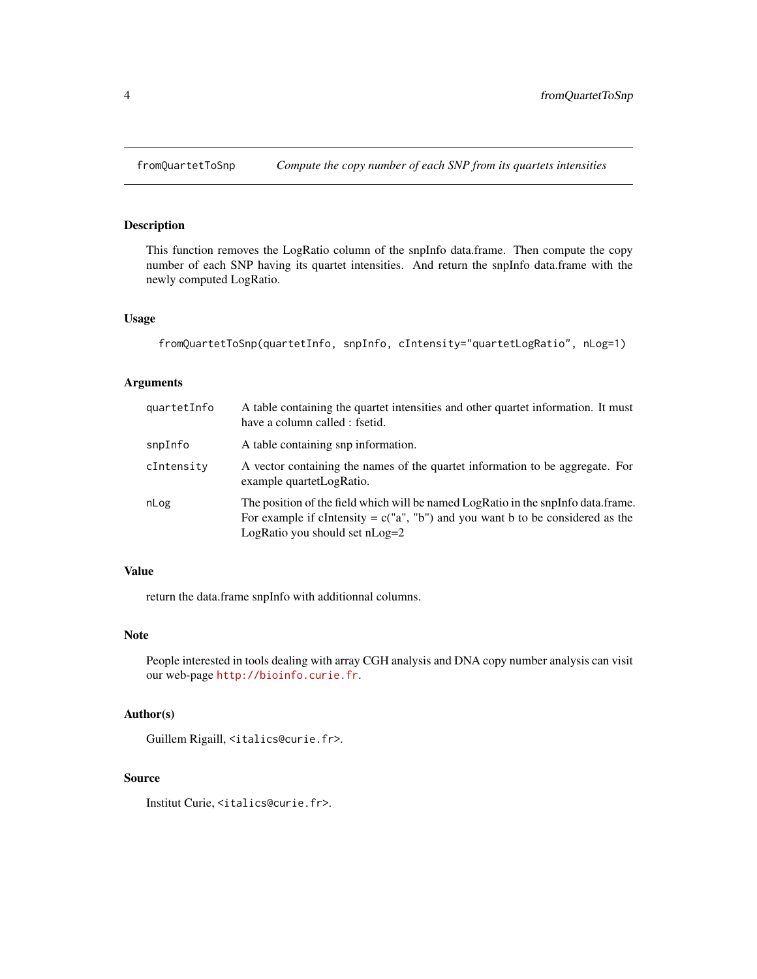<span id="page-3-0"></span>

## Description

This function removes the LogRatio column of the snpInfo data.frame. Then compute the copy number of each SNP having its quartet intensities. And return the snpInfo data.frame with the newly computed LogRatio.

#### Usage

```
fromQuartetToSnp(quartetInfo, snpInfo, cIntensity="quartetLogRatio", nLog=1)
```
#### Arguments

| quartetInfo | A table containing the quartet intensities and other quartet information. It must<br>have a column called : fsetid.                                                                                       |
|-------------|-----------------------------------------------------------------------------------------------------------------------------------------------------------------------------------------------------------|
| snpInfo     | A table containing snp information.                                                                                                                                                                       |
| cIntensity  | A vector containing the names of the quartet information to be aggregate. For<br>example quartetLogRatio.                                                                                                 |
| nLog        | The position of the field which will be named LogRatio in the snpInfo data.frame.<br>For example if cIntensity = $c("a", "b")$ and you want b to be considered as the<br>LogRatio you should set $nLog=2$ |

#### Value

return the data.frame snpInfo with additionnal columns.

#### Note

People interested in tools dealing with array CGH analysis and DNA copy number analysis can visit our web-page <http://bioinfo.curie.fr>.

## Author(s)

Guillem Rigaill, <italics@curie.fr>.

#### Source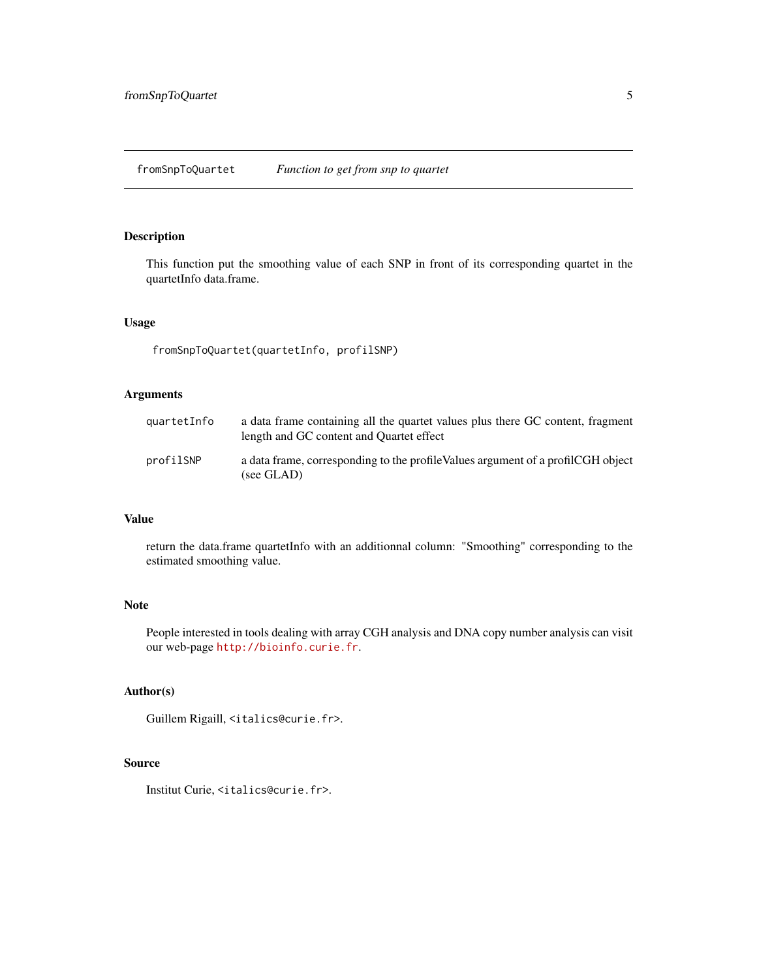## <span id="page-4-0"></span>Description

This function put the smoothing value of each SNP in front of its corresponding quartet in the quartetInfo data.frame.

#### Usage

fromSnpToQuartet(quartetInfo, profilSNP)

## Arguments

| quartetInfo | a data frame containing all the quartet values plus there GC content, fragment<br>length and GC content and Quartet effect |
|-------------|----------------------------------------------------------------------------------------------------------------------------|
| profilSNP   | a data frame, corresponding to the profile Values argument of a profilCGH object<br>(see GLAD)                             |

## Value

return the data.frame quartetInfo with an additionnal column: "Smoothing" corresponding to the estimated smoothing value.

## Note

People interested in tools dealing with array CGH analysis and DNA copy number analysis can visit our web-page <http://bioinfo.curie.fr>.

#### Author(s)

Guillem Rigaill, <italics@curie.fr>.

## Source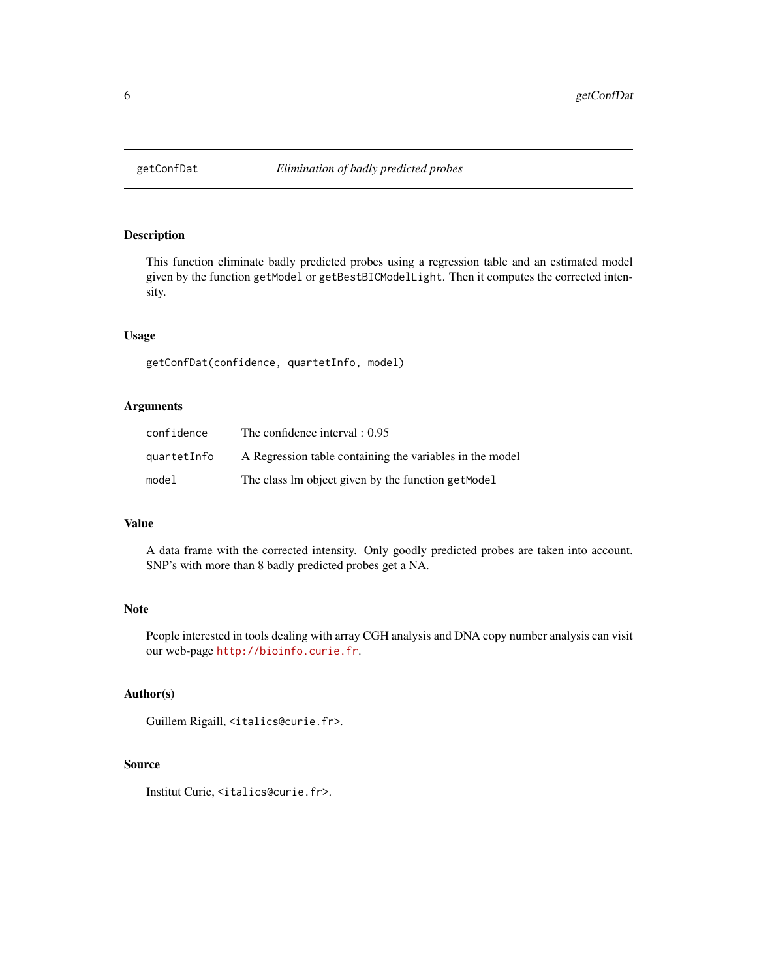<span id="page-5-0"></span>

#### Description

This function eliminate badly predicted probes using a regression table and an estimated model given by the function getModel or getBestBICModelLight. Then it computes the corrected intensity.

#### Usage

getConfDat(confidence, quartetInfo, model)

## Arguments

| confidence  | The confidence interval $: 0.95$                         |
|-------------|----------------------------------------------------------|
| quartetInfo | A Regression table containing the variables in the model |
| model       | The class lm object given by the function get Model      |

## Value

A data frame with the corrected intensity. Only goodly predicted probes are taken into account. SNP's with more than 8 badly predicted probes get a NA.

## Note

People interested in tools dealing with array CGH analysis and DNA copy number analysis can visit our web-page <http://bioinfo.curie.fr>.

## Author(s)

```
Guillem Rigaill, <italics@curie.fr>.
```
## Source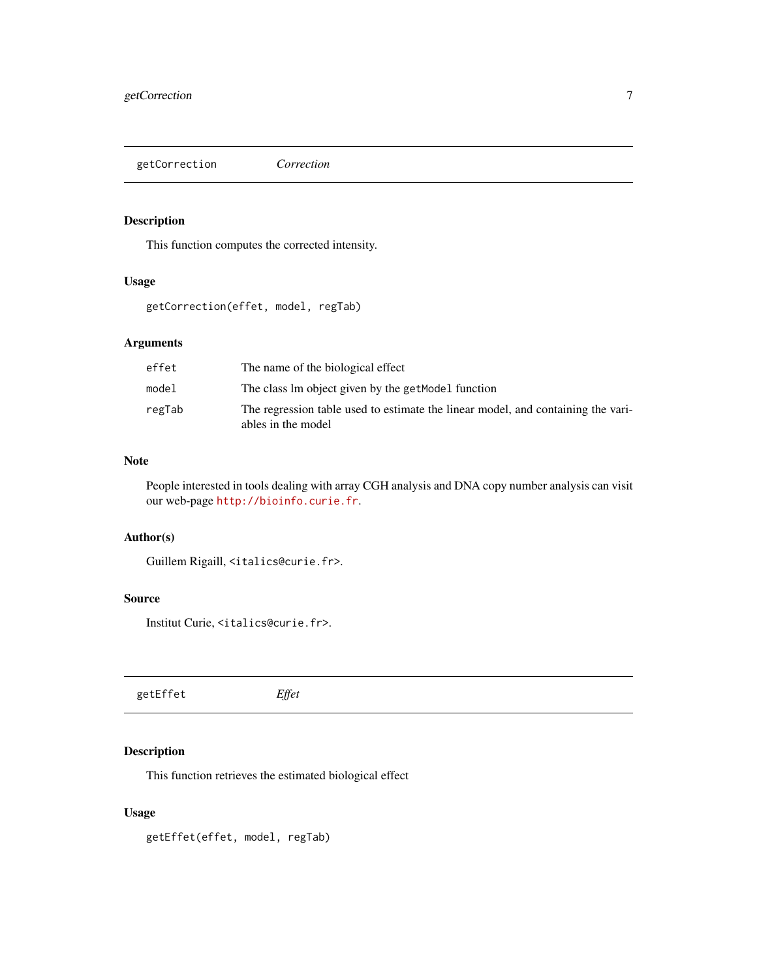<span id="page-6-0"></span>getCorrection *Correction*

#### Description

This function computes the corrected intensity.

## Usage

getCorrection(effet, model, regTab)

## Arguments

| effet  | The name of the biological effect                                                                      |
|--------|--------------------------------------------------------------------------------------------------------|
| model  | The class lm object given by the getModel function                                                     |
| regTab | The regression table used to estimate the linear model, and containing the vari-<br>ables in the model |

### Note

People interested in tools dealing with array CGH analysis and DNA copy number analysis can visit our web-page <http://bioinfo.curie.fr>.

## Author(s)

```
Guillem Rigaill, <italics@curie.fr>.
```
## Source

Institut Curie, <italics@curie.fr>.

getEffet *Effet*

## Description

This function retrieves the estimated biological effect

## Usage

getEffet(effet, model, regTab)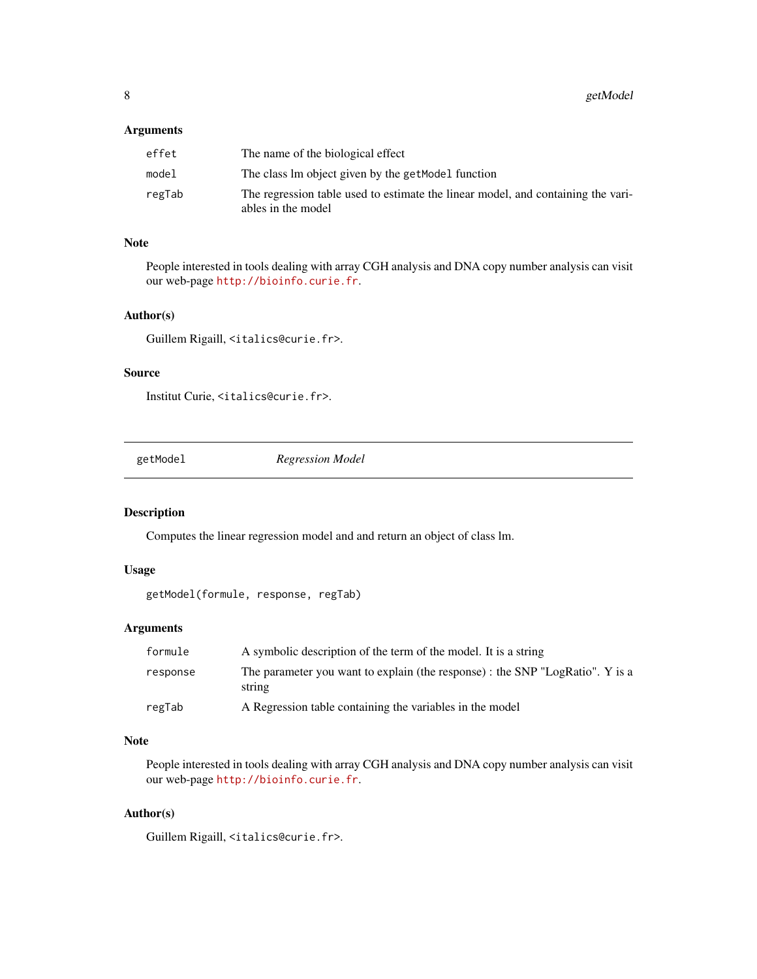## <span id="page-7-0"></span>Arguments

| effet  | The name of the biological effect                                                                      |
|--------|--------------------------------------------------------------------------------------------------------|
| model  | The class lm object given by the getModel function                                                     |
| regTab | The regression table used to estimate the linear model, and containing the vari-<br>ables in the model |

#### Note

People interested in tools dealing with array CGH analysis and DNA copy number analysis can visit our web-page <http://bioinfo.curie.fr>.

#### Author(s)

Guillem Rigaill, <italics@curie.fr>.

## Source

Institut Curie, <italics@curie.fr>.

getModel *Regression Model*

#### Description

Computes the linear regression model and and return an object of class lm.

#### Usage

```
getModel(formule, response, regTab)
```
## Arguments

| formule  | A symbolic description of the term of the model. It is a string                         |
|----------|-----------------------------------------------------------------------------------------|
| response | The parameter you want to explain (the response) : the SNP "LogRatio". Y is a<br>string |
| regTab   | A Regression table containing the variables in the model                                |

## Note

People interested in tools dealing with array CGH analysis and DNA copy number analysis can visit our web-page <http://bioinfo.curie.fr>.

## Author(s)

Guillem Rigaill, <italics@curie.fr>.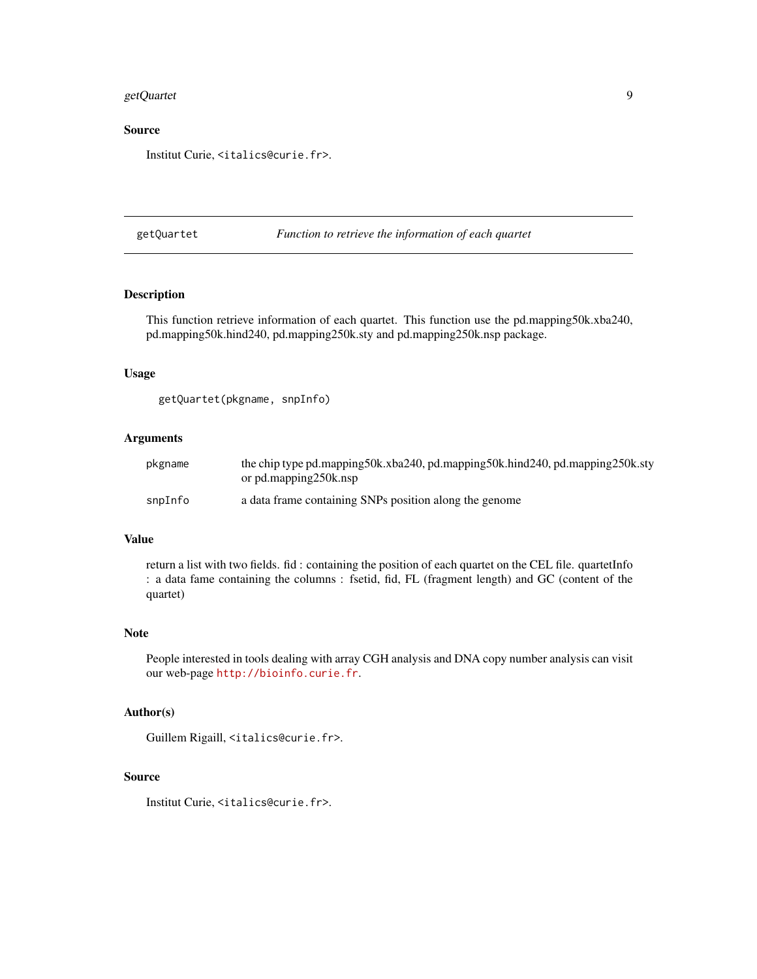## <span id="page-8-0"></span>getQuartet 9

## Source

Institut Curie, <italics@curie.fr>.

getQuartet *Function to retrieve the information of each quartet*

## Description

This function retrieve information of each quartet. This function use the pd.mapping50k.xba240, pd.mapping50k.hind240, pd.mapping250k.sty and pd.mapping250k.nsp package.

## Usage

```
getQuartet(pkgname, snpInfo)
```
## Arguments

| pkgname | the chip type pd.mapping50k.xba240, pd.mapping50k.hind240, pd.mapping250k.sty<br>or pd.mapping250k.nsp |
|---------|--------------------------------------------------------------------------------------------------------|
| snpInfo | a data frame containing SNPs position along the genome                                                 |

#### Value

return a list with two fields. fid : containing the position of each quartet on the CEL file. quartetInfo : a data fame containing the columns : fsetid, fid, FL (fragment length) and GC (content of the quartet)

#### Note

People interested in tools dealing with array CGH analysis and DNA copy number analysis can visit our web-page <http://bioinfo.curie.fr>.

#### Author(s)

Guillem Rigaill, <italics@curie.fr>.

#### Source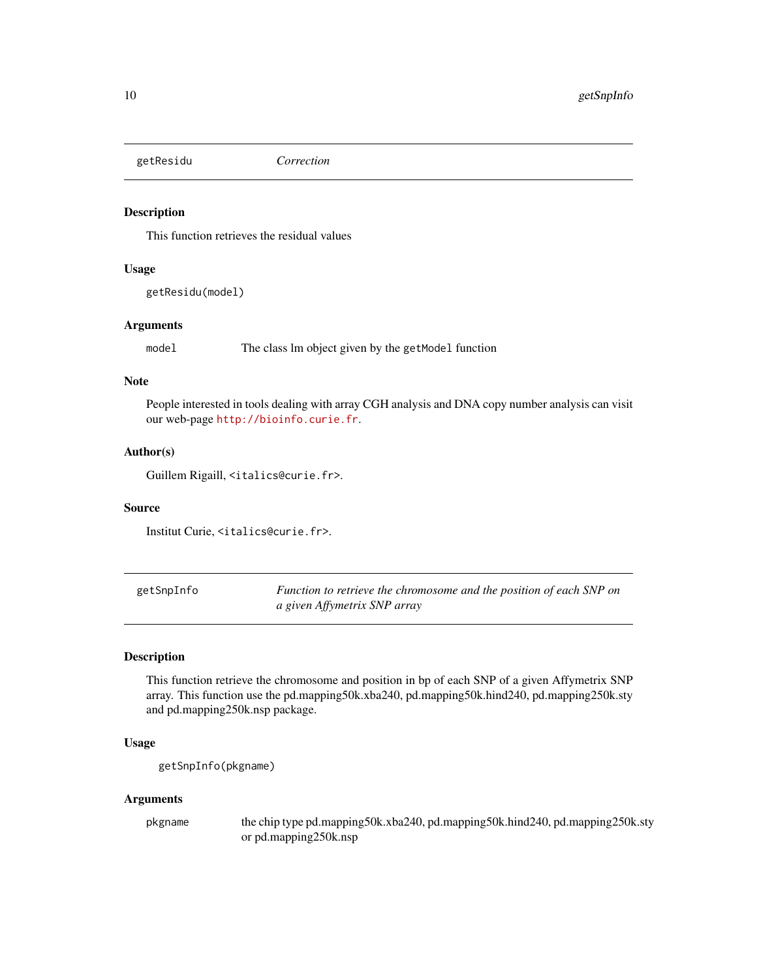<span id="page-9-0"></span>getResidu *Correction*

## Description

This function retrieves the residual values

#### Usage

```
getResidu(model)
```
## Arguments

model The class lm object given by the getModel function

## Note

People interested in tools dealing with array CGH analysis and DNA copy number analysis can visit our web-page <http://bioinfo.curie.fr>.

## Author(s)

Guillem Rigaill, <italics@curie.fr>.

#### Source

Institut Curie, <italics@curie.fr>.

| getSnpInfo | Function to retrieve the chromosome and the position of each SNP on |
|------------|---------------------------------------------------------------------|
|            | a given Affymetrix SNP array                                        |

## Description

This function retrieve the chromosome and position in bp of each SNP of a given Affymetrix SNP array. This function use the pd.mapping50k.xba240, pd.mapping50k.hind240, pd.mapping250k.sty and pd.mapping250k.nsp package.

#### Usage

```
getSnpInfo(pkgname)
```
#### Arguments

pkgname the chip type pd.mapping50k.xba240, pd.mapping50k.hind240, pd.mapping250k.sty or pd.mapping250k.nsp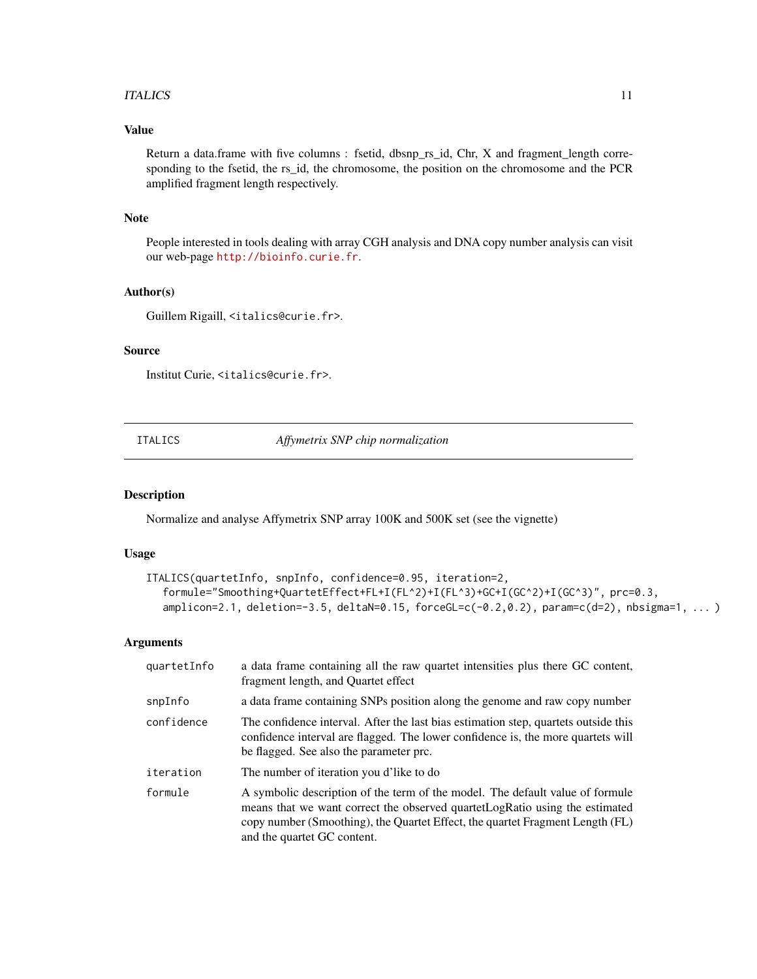#### <span id="page-10-0"></span>ITALICS 11

## Value

Return a data.frame with five columns : fsetid, dbsnp\_rs\_id, Chr, X and fragment\_length corresponding to the fsetid, the rs\_id, the chromosome, the position on the chromosome and the PCR amplified fragment length respectively.

## Note

People interested in tools dealing with array CGH analysis and DNA copy number analysis can visit our web-page <http://bioinfo.curie.fr>.

## Author(s)

Guillem Rigaill, <italics@curie.fr>.

#### Source

Institut Curie, <italics@curie.fr>.

ITALICS *Affymetrix SNP chip normalization*

#### Description

Normalize and analyse Affymetrix SNP array 100K and 500K set (see the vignette)

#### Usage

```
ITALICS(quartetInfo, snpInfo, confidence=0.95, iteration=2,
  formule="Smoothing+QuartetEffect+FL+I(FL^2)+I(FL^3)+GC+I(GC^2)+I(GC^3)", prc=0.3,
  amplicon=2.1, deletion=-3.5, deltaN=0.15, forceGL=c(-0.2,0.2), param=c(d=2), nbsigma=1, ... )
```
#### Arguments

| quartetInfo | a data frame containing all the raw quartet intensities plus there GC content,<br>fragment length, and Quartet effect                                                                                                                                                          |
|-------------|--------------------------------------------------------------------------------------------------------------------------------------------------------------------------------------------------------------------------------------------------------------------------------|
| snpInfo     | a data frame containing SNPs position along the genome and raw copy number                                                                                                                                                                                                     |
| confidence  | The confidence interval. After the last bias estimation step, quartets outside this<br>confidence interval are flagged. The lower confidence is, the more quartets will<br>be flagged. See also the parameter prc.                                                             |
| iteration   | The number of iteration you d'like to do                                                                                                                                                                                                                                       |
| formule     | A symbolic description of the term of the model. The default value of formule<br>means that we want correct the observed quartet Log Ratio using the estimated<br>copy number (Smoothing), the Quartet Effect, the quartet Fragment Length (FL)<br>and the quartet GC content. |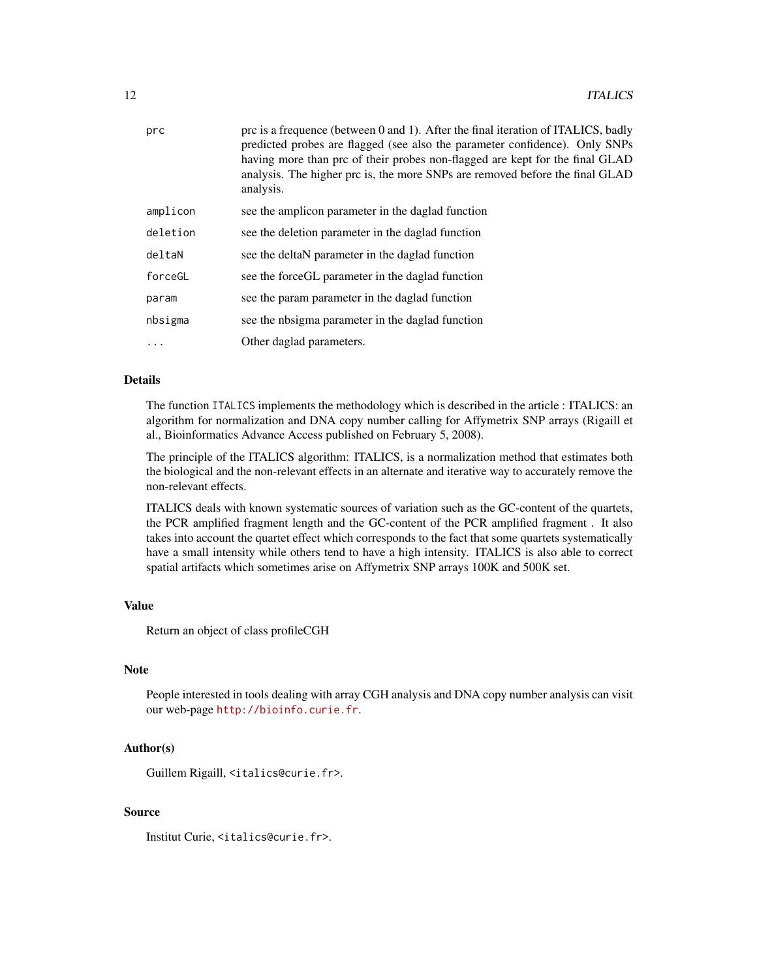| prc      | prc is a frequence (between 0 and 1). After the final iteration of ITALICS, badly<br>predicted probes are flagged (see also the parameter confidence). Only SNPs<br>having more than prc of their probes non-flagged are kept for the final GLAD<br>analysis. The higher prc is, the more SNPs are removed before the final GLAD<br>analysis. |
|----------|-----------------------------------------------------------------------------------------------------------------------------------------------------------------------------------------------------------------------------------------------------------------------------------------------------------------------------------------------|
| amplicon | see the amplicon parameter in the daglad function                                                                                                                                                                                                                                                                                             |
| deletion | see the deletion parameter in the daglad function                                                                                                                                                                                                                                                                                             |
| deltaN   | see the deltaN parameter in the daglad function                                                                                                                                                                                                                                                                                               |
| forceGL  | see the forceGL parameter in the daglad function                                                                                                                                                                                                                                                                                              |
| param    | see the param parameter in the daglad function                                                                                                                                                                                                                                                                                                |
| nbsigma  | see the nbsigma parameter in the daglad function                                                                                                                                                                                                                                                                                              |
| .        | Other daglad parameters.                                                                                                                                                                                                                                                                                                                      |
|          |                                                                                                                                                                                                                                                                                                                                               |

## Details

The function ITALICS implements the methodology which is described in the article : ITALICS: an algorithm for normalization and DNA copy number calling for Affymetrix SNP arrays (Rigaill et al., Bioinformatics Advance Access published on February 5, 2008).

The principle of the ITALICS algorithm: ITALICS, is a normalization method that estimates both the biological and the non-relevant effects in an alternate and iterative way to accurately remove the non-relevant effects.

ITALICS deals with known systematic sources of variation such as the GC-content of the quartets, the PCR amplified fragment length and the GC-content of the PCR amplified fragment . It also takes into account the quartet effect which corresponds to the fact that some quartets systematically have a small intensity while others tend to have a high intensity. ITALICS is also able to correct spatial artifacts which sometimes arise on Affymetrix SNP arrays 100K and 500K set.

#### Value

Return an object of class profileCGH

#### Note

People interested in tools dealing with array CGH analysis and DNA copy number analysis can visit our web-page <http://bioinfo.curie.fr>.

## Author(s)

Guillem Rigaill, <italics@curie.fr>.

#### Source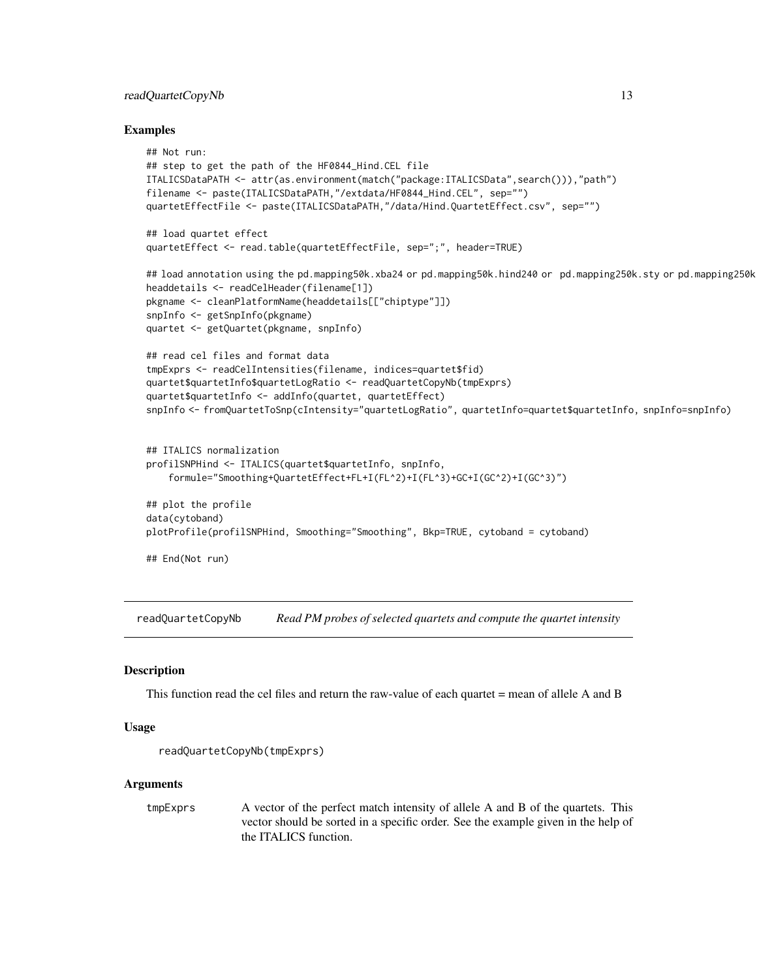## <span id="page-12-0"></span>readQuartetCopyNb 13

#### Examples

```
## Not run:
## step to get the path of the HF0844_Hind.CEL file
ITALICSDataPATH <- attr(as.environment(match("package:ITALICSData",search())),"path")
filename <- paste(ITALICSDataPATH,"/extdata/HF0844_Hind.CEL", sep="")
quartetEffectFile <- paste(ITALICSDataPATH,"/data/Hind.QuartetEffect.csv", sep="")
## load quartet effect
quartetEffect <- read.table(quartetEffectFile, sep=";", header=TRUE)
## load annotation using the pd.mapping50k.xba24 or pd.mapping50k.hind240 or pd.mapping250k.sty or pd.mapping250k
headdetails <- readCelHeader(filename[1])
pkgname <- cleanPlatformName(headdetails[["chiptype"]])
snpInfo <- getSnpInfo(pkgname)
quartet <- getQuartet(pkgname, snpInfo)
## read cel files and format data
tmpExprs <- readCelIntensities(filename, indices=quartet$fid)
quartet$quartetInfo$quartetLogRatio <- readQuartetCopyNb(tmpExprs)
quartet$quartetInfo <- addInfo(quartet, quartetEffect)
snpInfo <- fromQuartetToSnp(cIntensity="quartetLogRatio", quartetInfo=quartet$quartetInfo, snpInfo=snpInfo)
## ITALICS normalization
profilSNPHind <- ITALICS(quartet$quartetInfo, snpInfo,
    formule="Smoothing+QuartetEffect+FL+I(FL^2)+I(FL^3)+GC+I(GC^2)+I(GC^3)")
## plot the profile
data(cytoband)
plotProfile(profilSNPHind, Smoothing="Smoothing", Bkp=TRUE, cytoband = cytoband)
## End(Not run)
```
readQuartetCopyNb *Read PM probes of selected quartets and compute the quartet intensity*

#### **Description**

This function read the cel files and return the raw-value of each quartet = mean of allele A and B

#### Usage

```
readQuartetCopyNb(tmpExprs)
```
#### Arguments

tmpExprs A vector of the perfect match intensity of allele A and B of the quartets. This vector should be sorted in a specific order. See the example given in the help of the ITALICS function.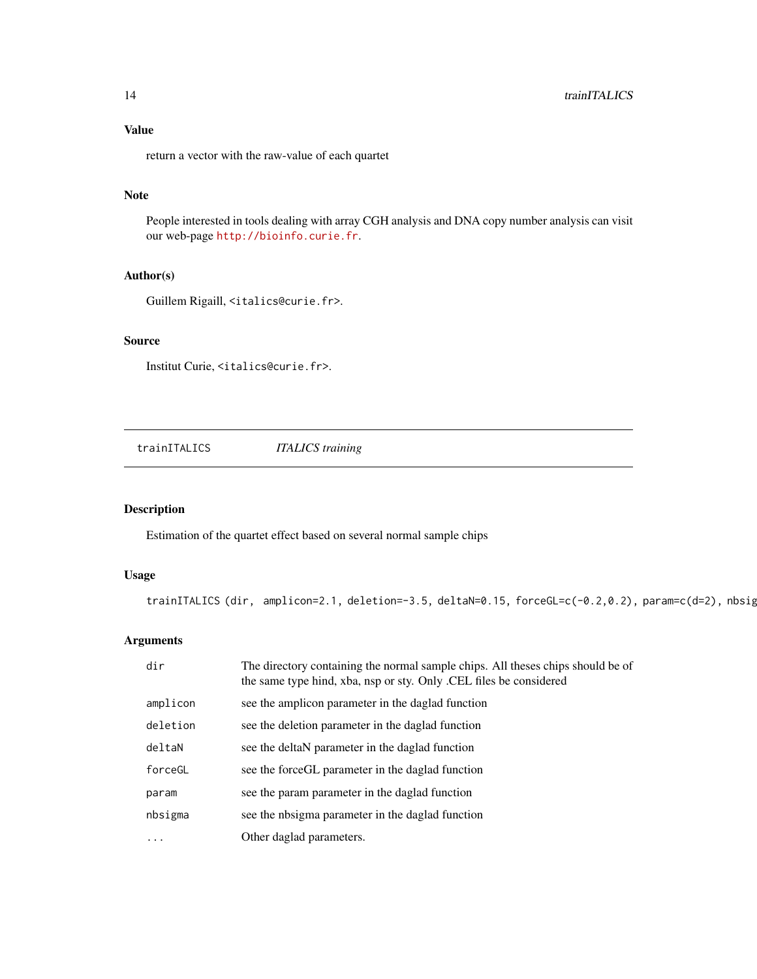<span id="page-13-0"></span>return a vector with the raw-value of each quartet

#### Note

People interested in tools dealing with array CGH analysis and DNA copy number analysis can visit our web-page <http://bioinfo.curie.fr>.

#### Author(s)

Guillem Rigaill, <italics@curie.fr>.

## Source

Institut Curie, <italics@curie.fr>.

trainITALICS *ITALICS training*

## Description

Estimation of the quartet effect based on several normal sample chips

## Usage

trainITALICS (dir, amplicon=2.1, deletion=-3.5, deltaN=0.15, forceGL=c(-0.2,0.2), param=c(d=2), nbsig

## Arguments

| dir      | The directory containing the normal sample chips. All theses chips should be of<br>the same type hind, xba, nsp or sty. Only .CEL files be considered |
|----------|-------------------------------------------------------------------------------------------------------------------------------------------------------|
| amplicon | see the amplicon parameter in the daglad function                                                                                                     |
| deletion | see the deletion parameter in the daglad function                                                                                                     |
| deltaN   | see the deltaN parameter in the daglad function                                                                                                       |
| forceGL  | see the force GL parameter in the daglad function                                                                                                     |
| param    | see the param parameter in the daglad function                                                                                                        |
| nbsigma  | see the nbsigma parameter in the daglad function                                                                                                      |
| .        | Other daglad parameters.                                                                                                                              |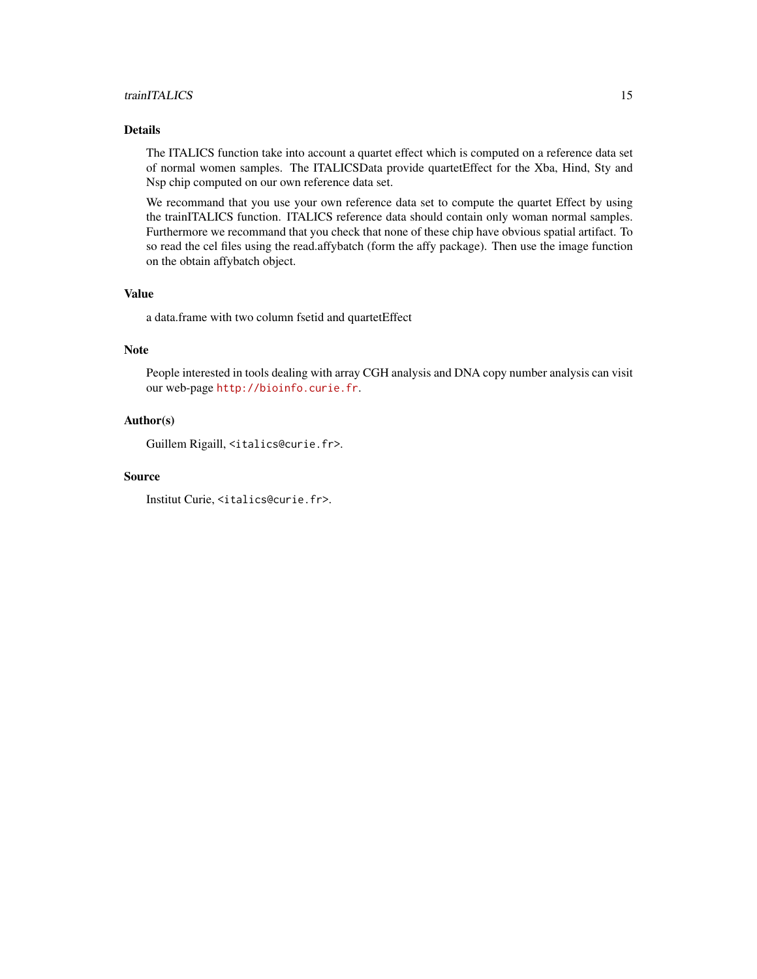## trainITALICS 15

## Details

The ITALICS function take into account a quartet effect which is computed on a reference data set of normal women samples. The ITALICSData provide quartetEffect for the Xba, Hind, Sty and Nsp chip computed on our own reference data set.

We recommand that you use your own reference data set to compute the quartet Effect by using the trainITALICS function. ITALICS reference data should contain only woman normal samples. Furthermore we recommand that you check that none of these chip have obvious spatial artifact. To so read the cel files using the read.affybatch (form the affy package). Then use the image function on the obtain affybatch object.

#### Value

a data.frame with two column fsetid and quartetEffect

## Note

People interested in tools dealing with array CGH analysis and DNA copy number analysis can visit our web-page <http://bioinfo.curie.fr>.

#### Author(s)

Guillem Rigaill, <italics@curie.fr>.

#### Source